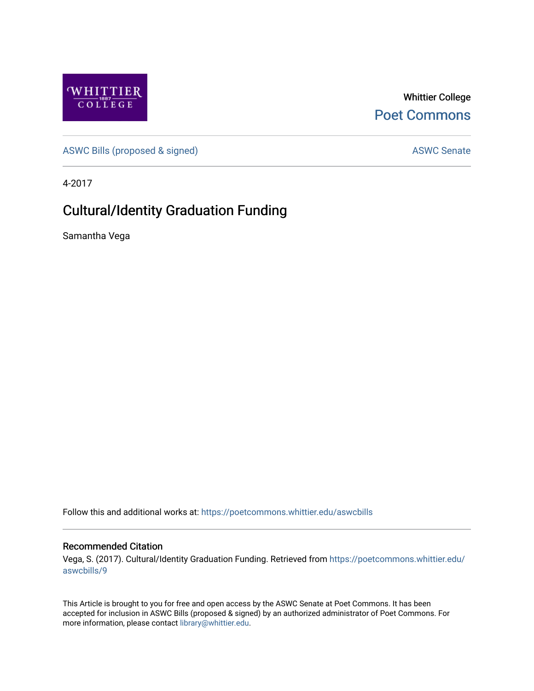

Whittier College [Poet Commons](https://poetcommons.whittier.edu/) 

[ASWC Bills \(proposed & signed\)](https://poetcommons.whittier.edu/aswcbills) ASWC Senate

4-2017

## Cultural/Identity Graduation Funding

Samantha Vega

Follow this and additional works at: [https://poetcommons.whittier.edu/aswcbills](https://poetcommons.whittier.edu/aswcbills?utm_source=poetcommons.whittier.edu%2Faswcbills%2F9&utm_medium=PDF&utm_campaign=PDFCoverPages) 

## Recommended Citation

Vega, S. (2017). Cultural/Identity Graduation Funding. Retrieved from [https://poetcommons.whittier.edu/](https://poetcommons.whittier.edu/aswcbills/9?utm_source=poetcommons.whittier.edu%2Faswcbills%2F9&utm_medium=PDF&utm_campaign=PDFCoverPages) [aswcbills/9](https://poetcommons.whittier.edu/aswcbills/9?utm_source=poetcommons.whittier.edu%2Faswcbills%2F9&utm_medium=PDF&utm_campaign=PDFCoverPages)

This Article is brought to you for free and open access by the ASWC Senate at Poet Commons. It has been accepted for inclusion in ASWC Bills (proposed & signed) by an authorized administrator of Poet Commons. For more information, please contact [library@whittier.edu.](mailto:library@whittier.edu)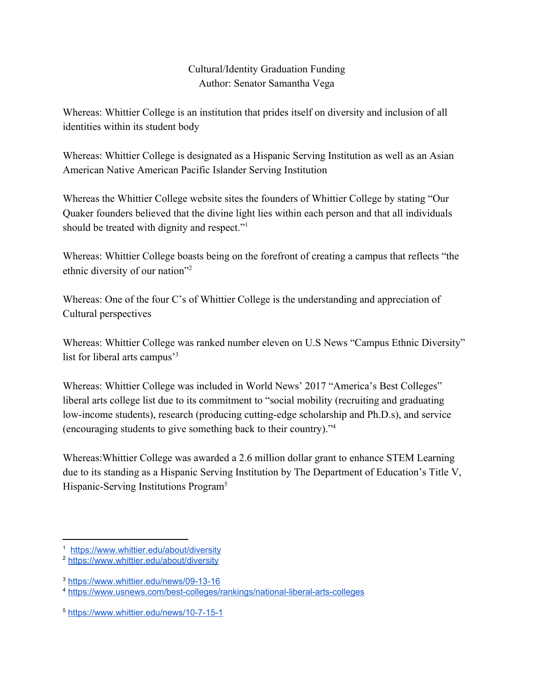## Cultural/Identity Graduation Funding Author: Senator Samantha Vega

Whereas: Whittier College is an institution that prides itself on diversity and inclusion of all identities within its student body

Whereas: Whittier College is designated as a Hispanic Serving Institution as well as an Asian American Native American Pacific Islander Serving Institution

Whereas the Whittier College website sites the founders of Whittier College by stating "Our Quaker founders believed that the divine light lies within each person and that all individuals should be treated with dignity and respect."<sup>1</sup>

Whereas: Whittier College boasts being on the forefront of creating a campus that reflects "the ethnic diversity of our nation"<sup>2</sup>

Whereas: One of the four C's of Whittier College is the understanding and appreciation of Cultural perspectives

Whereas: Whittier College was ranked number eleven on U.S News "Campus Ethnic Diversity" list for liberal arts campus'<sup>3</sup>

Whereas: Whittier College was included in World News' 2017 "America's Best Colleges" liberal arts college list due to its commitment to "social mobility (recruiting and graduating low-income students), research (producing cutting-edge scholarship and Ph.D.s), and service (encouraging students to give something back to their country)."<sup>4</sup>

Whereas:Whittier College was awarded a 2.6 million dollar grant to enhance STEM Learning due to its standing as a Hispanic Serving Institution by The Department of Education's Title V, Hispanic-Serving Institutions Program<sup>5</sup>

<sup>1</sup> <https://www.whittier.edu/about/diversity>

<sup>2</sup> <https://www.whittier.edu/about/diversity>

<sup>3</sup> <https://www.whittier.edu/news/09-13-16>

<sup>4</sup> <https://www.usnews.com/best-colleges/rankings/national-liberal-arts-colleges>

<sup>5</sup> <https://www.whittier.edu/news/10-7-15-1>